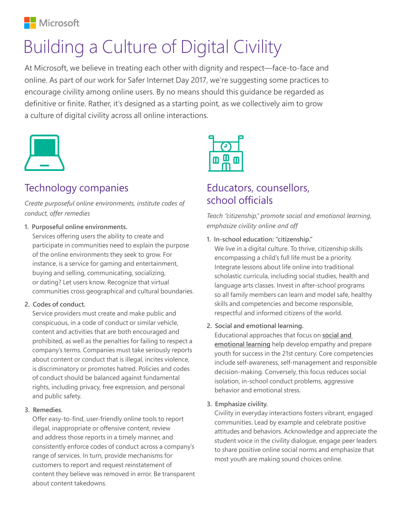

# Building a Culture of Digital Civility

At Microsoft, we believe in treating each other with dignity and respect—face-to-face and online. As part of our work for Safer Internet Day 2017, we're suggesting some practices to encourage civility among online users. By no means should this guidance be regarded as definitive or finite. Rather, it's designed as a starting point, as we collectively aim to grow a culture of digital civility across all online interactions.



# Technology companies

*Create purposeful online environments, institute codes of conduct, offer remedies* 

**1. Purposeful online environments.** 

Services offering users the ability to create and participate in communities need to explain the purpose of the online environments they seek to grow. For instance, is a service for gaming and entertainment, buying and selling, communicating, socializing, or dating? Let users know. Recognize that virtual communities cross geographical and cultural boundaries.

## **2. Codes of conduct.**

Service providers must create and make public and conspicuous, in a code of conduct or similar vehicle, content and activities that are both encouraged and prohibited, as well as the penalties for failing to respect a company's terms. Companies must take seriously reports about content or conduct that is illegal, incites violence, is discriminatory or promotes hatred. Policies and codes of conduct should be balanced against fundamental rights, including privacy, free expression, and personal and public safety.

## **3. Remedies.**

Offer easy-to-find, user-friendly online tools to report illegal, inappropriate or offensive content, review and address those reports in a timely manner, and consistently enforce codes of conduct across a company's range of services. In turn, provide mechanisms for customers to report and request reinstatement of content they believe was removed in error. Be transparent about content takedowns.



# Educators, counsellors, school officials

*Teach "citizenship," promote social and emotional learning, emphasize civility online and off*

**1. In-school education: "citizenship."** 

We live in a digital culture. To thrive, citizenship skills encompassing a child's full life must be a priority. Integrate lessons about life online into traditional scholastic curricula, including social studies, health and language arts classes. Invest in after-school programs so all family members can learn and model safe, healthy skills and competencies and become responsible, respectful and informed citizens of the world.

**2. Social and emotional learning.**

Educational approaches that focus on **[social and](http://www.casel.org/what-is-sel/)  [emotional learning](http://www.casel.org/what-is-sel/)** help develop empathy and prepare youth for success in the 21st century. Core competencies include self-awareness, self-management and responsible decision-making. Conversely, this focus reduces social isolation, in-school conduct problems, aggressive behavior and emotional stress.

## **3. Emphasize civility.**

Civility in everyday interactions fosters vibrant, engaged communities. Lead by example and celebrate positive attitudes and behaviors. Acknowledge and appreciate the student voice in the civility dialogue, engage peer leaders to share positive online social norms and emphasize that most youth are making sound choices online.